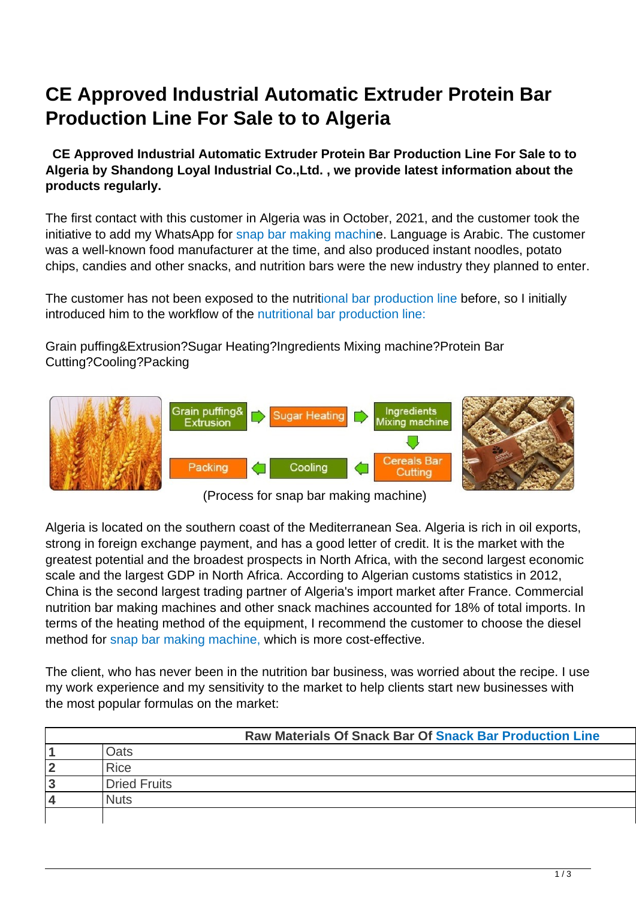# **CE Approved Industrial Automatic Extruder Protein Bar Production Line For Sale to to Algeria**

 **CE Approved Industrial Automatic Extruder Protein Bar Production Line For Sale to to Algeria by Shandong Loyal Industrial Co.,Ltd. , we provide latest information about the products regularly.**

The first contact with this customer in Algeria was in October, 2021, and the customer took the initiative to add my WhatsApp for snap bar making machine. Language is Arabic. The customer was a well-known food manufacturer at the time, and also produced instant noodles, potato chips, candies and other snacks, and nutrition bars were the new industry they planned to enter.

The customer has not been exposed to the nutritional bar production line before, so I initially introduced him to the workflow of the nutritional bar production line:

Grain puffing&Extrusion?Sugar Heating?Ingredients Mixing machine?Protein Bar Cutting?Cooling?Packing



(Process for snap bar making machine)

Algeria is located on the southern coast of the Mediterranean Sea. Algeria is rich in oil exports, strong in foreign exchange payment, and has a good letter of credit. It is the market with the greatest potential and the broadest prospects in North Africa, with the second largest economic scale and the largest GDP in North Africa. According to Algerian customs statistics in 2012, China is the second largest trading partner of Algeria's import market after France. Commercial nutrition bar making machines and other snack machines accounted for 18% of total imports. In terms of the heating method of the equipment, I recommend the customer to choose the diesel method for snap bar making machine, which is more cost-effective.

The client, who has never been in the nutrition bar business, was worried about the recipe. I use my work experience and my sensitivity to the market to help clients start new businesses with the most popular formulas on the market:

|   | <b>Raw Materials Of Snack Bar Of Snack Bar Production Line</b> |
|---|----------------------------------------------------------------|
|   | Oats                                                           |
| 2 | <b>Rice</b>                                                    |
| 3 | Dried Fruits                                                   |
| 4 | <b>Nuts</b>                                                    |
|   |                                                                |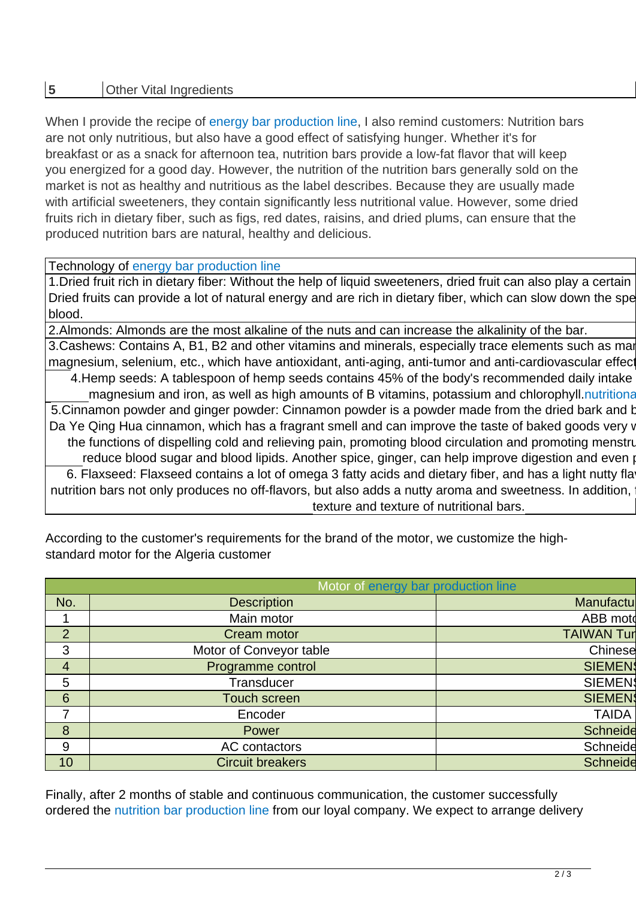## **5** Other Vital Ingredients

When I provide the recipe of energy bar production line, I also remind customers: Nutrition bars are not only nutritious, but also have a good effect of satisfying hunger. Whether it's for breakfast or as a snack for afternoon tea, nutrition bars provide a low-fat flavor that will keep you energized for a good day. However, the nutrition of the nutrition bars generally sold on the market is not as healthy and nutritious as the label describes. Because they are usually made with artificial sweeteners, they contain significantly less nutritional value. However, some dried fruits rich in dietary fiber, such as figs, red dates, raisins, and dried plums, can ensure that the produced nutrition bars are natural, healthy and delicious.

#### Technology of energy bar production line

1. Dried fruit rich in dietary fiber: Without the help of liquid sweeteners, dried fruit can also play a certain Dried fruits can provide a lot of natural energy and are rich in dietary fiber, which can slow down the spe blood.

2.Almonds: Almonds are the most alkaline of the nuts and can increase the alkalinity of the bar.

3.Cashews: Contains A, B1, B2 and other vitamins and minerals, especially trace elements such as mar magnesium, selenium, etc., which have antioxidant, anti-aging, anti-tumor and anti-cardiovascular effect 4.Hemp seeds: A tablespoon of hemp seeds contains 45% of the body's recommended daily intake magnesium and iron, as well as high amounts of B vitamins, potassium and chlorophyll.nutritional 5.Cinnamon powder and ginger powder: Cinnamon powder is a powder made from the dried bark and b Da Ye Qing Hua cinnamon, which has a fragrant smell and can improve the taste of baked goods very v the functions of dispelling cold and relieving pain, promoting blood circulation and promoting menstruation reduce blood sugar and blood lipids. Another spice, ginger, can help improve digestion and even preduced infla 6. Flaxseed: Flaxseed contains a lot of omega 3 fatty acids and dietary fiber, and has a light nutty fla nutrition bars not only produces no off-flavors, but also adds a nutty aroma and sweetness. In addition, texture and texture of nutritional bars.

| Motor of energy bar production line |                         |                   |
|-------------------------------------|-------------------------|-------------------|
| No.                                 | <b>Description</b>      | Manufactu         |
|                                     | Main motor              | ABB moto          |
| $\overline{2}$                      | Cream motor             | <b>TAIWAN Tur</b> |
| 3                                   | Motor of Conveyor table | Chinese           |
| $\overline{4}$                      | Programme control       | <b>SIEMEN</b>     |
| 5                                   | <b>Transducer</b>       | <b>SIEMEN</b>     |
| $6\phantom{1}6$                     | Touch screen            | <b>SIEMEN</b>     |
| 7                                   | Encoder                 | <b>TAIDA</b>      |
| 8                                   | Power                   | <b>Schneide</b>   |
| 9                                   | AC contactors           | Schneide          |
| 10                                  | <b>Circuit breakers</b> | <b>Schneide</b>   |

According to the customer's requirements for the brand of the motor, we customize the highstandard motor for the Algeria customer

Finally, after 2 months of stable and continuous communication, the customer successfully ordered the nutrition bar production line from our loyal company. We expect to arrange delivery